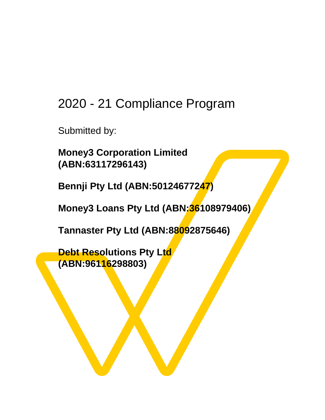### 2020 - 21 Compliance Program

Submitted by:

**Money3 Corporation Limited (ABN:63117296143)**

**Bennji Pty Ltd (ABN:50124677247)**

**Money3 Loans Pty Ltd (ABN:36108979406)**

**Tannaster Pty Ltd (ABN:88092875646)**

**Debt Resolutions Pty Ltd (ABN:96116298803)**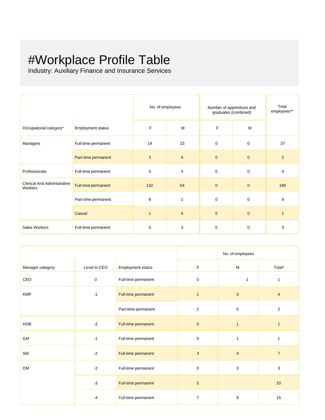# #Workplace Profile Table

Industry: Auxiliary Finance and Insurance Services

|                                               |                     | No. of employees |                | Number of apprentices and<br>graduates (combined) |                | Total<br>employees** |
|-----------------------------------------------|---------------------|------------------|----------------|---------------------------------------------------|----------------|----------------------|
| Occupational category*                        | Employment status   | F                | M              | F                                                 | M              |                      |
| Managers                                      | Full-time permanent | 14               | 23             | $\mathbf 0$                                       | 0              | 37                   |
|                                               | Part-time permanent | $\overline{2}$   | $\mathbf{0}$   | $\mathbf{0}$                                      | $\mathbf 0$    | $\overline{2}$       |
| Professionals                                 | Full-time permanent | 0                | $\overline{4}$ | $\pmb{0}$                                         | 0              | 4                    |
| <b>Clerical And Administrative</b><br>Workers | Full-time permanent | 132              | 54             | $\mathbf{0}$                                      | $\overline{0}$ | 186                  |
|                                               | Part-time permanent | 8                | $\mathbf{1}$   | $\mathbf 0$                                       | 0              | 9                    |
|                                               | Casual              | $\mathbf{1}$     | $\mathbf{0}$   | $\mathbf{0}$                                      | $\mathbf 0$    | $\mathbf{1}$         |
| Sales Workers                                 | Full-time permanent | 0                | 3              | $\pmb{0}$                                         | 0              | 3                    |

|                  |              |                     |                | No. of employees |                |
|------------------|--------------|---------------------|----------------|------------------|----------------|
| Manager category | Level to CEO | Employment status   | F              | M                | Total*         |
| CEO              | $\mathbf 0$  | Full-time permanent | $\pmb{0}$      | $\mathbf{1}$     | 1              |
| <b>KMP</b>       | $-1$         | Full-time permanent |                | $\mathbf{3}$     | $\overline{4}$ |
|                  |              | Part-time permanent | $\overline{c}$ | $\mathbf 0$      | $\overline{2}$ |
| HOB              | $-2$         | Full-time permanent | $\mathbf{0}$   | $\mathbf{1}$     | $\mathbf{1}$   |
| GM               | $-1$         | Full-time permanent | $\pmb{0}$      | $\mathbf{1}$     | 1              |
| SM               | $-2$         | Full-time permanent | 3              | $\overline{4}$   | $\overline{7}$ |
| OM               | $-2$         | Full-time permanent | $\mathbf 0$    | 3                | 3              |
|                  | $-3$         | Full-time permanent | 5              |                  | $10$           |
|                  | $-4$         | Full-time permanent | 7              | 8                | 15             |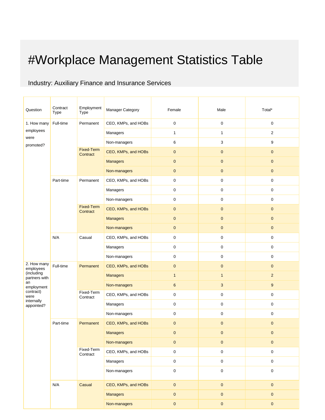# #Workplace Management Statistics Table

### Industry: Auxiliary Finance and Insurance Services

| Question                    | Contract<br><b>Type</b>                          | Employment<br>Type            | Manager Category    | Female           | Male         | Total*              |
|-----------------------------|--------------------------------------------------|-------------------------------|---------------------|------------------|--------------|---------------------|
| 1. How many                 | Full-time                                        | Permanent                     | CEO, KMPs, and HOBs | $\pmb{0}$        | $\mathbf 0$  | $\boldsymbol{0}$    |
| employees                   |                                                  |                               | Managers            | 1                | $\mathbf{1}$ | $\overline{c}$      |
| were<br>promoted?           |                                                  |                               | Non-managers        | 6                | 3            | 9                   |
|                             |                                                  | <b>Fixed-Term</b><br>Contract | CEO, KMPs, and HOBs | $\pmb{0}$        | $\pmb{0}$    | $\mathbf 0$         |
|                             |                                                  |                               | <b>Managers</b>     | $\pmb{0}$        | $\pmb{0}$    | $\mathbf 0$         |
|                             |                                                  |                               | Non-managers        | $\pmb{0}$        | $\pmb{0}$    | $\pmb{0}$           |
|                             | Part-time                                        | Permanent                     | CEO, KMPs, and HOBs | $\mathbf 0$      | 0            | $\mathbf 0$         |
|                             |                                                  |                               | Managers            | $\pmb{0}$        | 0            | $\mathbf 0$         |
|                             |                                                  |                               | Non-managers        | $\mathbf 0$      | 0            | $\boldsymbol{0}$    |
|                             |                                                  | <b>Fixed-Term</b><br>Contract | CEO, KMPs, and HOBs | $\pmb{0}$        | $\pmb{0}$    | $\mathbf 0$         |
|                             |                                                  |                               | <b>Managers</b>     | $\pmb{0}$        | $\pmb{0}$    | $\mathbf 0$         |
|                             |                                                  |                               | Non-managers        | $\pmb{0}$        | $\pmb{0}$    | $\pmb{0}$           |
|                             | N/A<br>Casual                                    |                               | CEO, KMPs, and HOBs | $\mathsf 0$      | 0            | 0                   |
|                             |                                                  |                               | Managers            | $\pmb{0}$        | 0            | 0                   |
|                             |                                                  |                               | Non-managers        | $\pmb{0}$        | 0            | 0                   |
| 2. How many<br>employees    | Full-time<br>Permanent<br>Fixed-Term<br>Contract |                               | CEO, KMPs, and HOBs | $\pmb{0}$        | $\pmb{0}$    | $\mathbf 0$         |
| (including<br>partners with |                                                  |                               | <b>Managers</b>     | $\mathbf{1}$     | $\mathbf{1}$ | $\overline{2}$      |
| an<br>employment            |                                                  |                               | Non-managers        | $\boldsymbol{6}$ | 3            | 9                   |
| contract)<br>were           |                                                  |                               | CEO, KMPs, and HOBs | $\pmb{0}$        | 0            | 0                   |
| internally<br>appointed?    |                                                  |                               | Managers            | $\pmb{0}$        | 0            | $\boldsymbol{0}$    |
|                             |                                                  |                               | Non-managers        | $\pmb{0}$        | 0            | 0                   |
|                             | Part-time                                        | Permanent                     | CEO, KMPs, and HOBs | $\mathbf 0$      | $\pmb{0}$    | $\mathbf 0$         |
|                             |                                                  |                               | <b>Managers</b>     | $\mathbf{0}$     | $\mathbf{0}$ | $\mathbf 0$         |
|                             |                                                  |                               | Non-managers        | $\pmb{0}$        | $\pmb{0}$    | $\mathbf 0$         |
|                             |                                                  | Fixed-Term<br>Contract        | CEO, KMPs, and HOBs | $\pmb{0}$        | $\pmb{0}$    | $\mathsf 0$         |
|                             |                                                  |                               | Managers            | $\mathbf 0$      | $\pmb{0}$    | $\mathbf 0$         |
|                             |                                                  |                               | Non-managers        | $\pmb{0}$        | 0            | $\mathsf{O}\xspace$ |
|                             | N/A                                              | Casual                        | CEO, KMPs, and HOBs | $\pmb{0}$        | $\pmb{0}$    | $\mathbf 0$         |
|                             |                                                  |                               | <b>Managers</b>     | $\pmb{0}$        | $\pmb{0}$    | $\overline{0}$      |
|                             |                                                  |                               | Non-managers        | $\pmb{0}$        | $\pmb{0}$    | $\mathbf 0$         |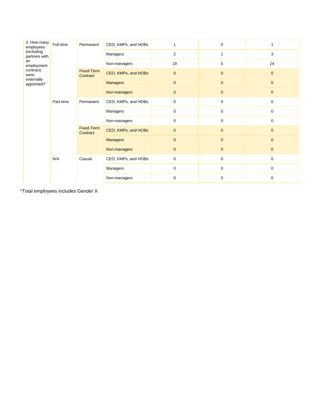| 3. How many<br>employees    | Full-time                                        | Permanent              | CEO, KMPs, and HOBs |                | $\mathbf 0$    |              |
|-----------------------------|--------------------------------------------------|------------------------|---------------------|----------------|----------------|--------------|
| (including<br>partners with |                                                  |                        | Managers            | $\overline{c}$ | 1              | 3            |
| an<br>employment            |                                                  |                        | Non-managers        | 19             | 5              | 24           |
| contract)<br>were           |                                                  | Fixed-Term<br>Contract | CEO, KMPs, and HOBs | $\mathbf{0}$   | $\mathbf{0}$   | $\mathbf{0}$ |
| externally<br>appointed?    |                                                  |                        | <b>Managers</b>     | $\mathbf{0}$   | $\mathbf{0}$   | $\mathbf{0}$ |
|                             |                                                  |                        | Non-managers        | $\mathbf{0}$   | $\pmb{0}$      | $\mathbf{0}$ |
|                             | Part-time<br>Permanent<br>Fixed-Term<br>Contract | CEO, KMPs, and HOBs    | 0                   | 0              | $\mathbf 0$    |              |
|                             |                                                  |                        | Managers            | 0              | $\mathbf 0$    | $\mathbf 0$  |
|                             |                                                  |                        | Non-managers        | 0              | $\mathbf 0$    | $\mathbf 0$  |
|                             |                                                  |                        | CEO, KMPs, and HOBs | $\mathbf{0}$   | $\mathbf{0}$   | $\mathbf{0}$ |
|                             |                                                  | <b>Managers</b>        | $\mathbf{0}$        | $\mathbf{0}$   | $\overline{0}$ |              |
|                             |                                                  |                        | Non-managers        | $\mathbf{0}$   | $\mathbf{0}$   | $\mathbf{0}$ |
|                             | N/A<br>Casual                                    |                        | CEO, KMPs, and HOBs | 0              | 0              | $\mathbf 0$  |
|                             |                                                  |                        | Managers            | 0              | 0              | 0            |
|                             |                                                  |                        | Non-managers        | $\mathbf 0$    | $\mathbf 0$    | $\mathbf 0$  |

\*Total employees includes Gender X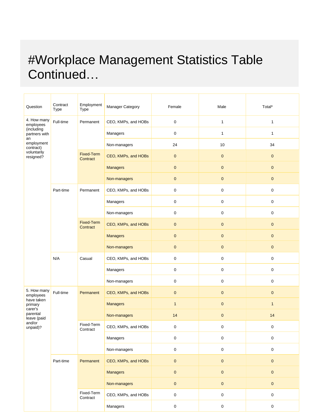# #Workplace Management Statistics Table Continued…

| Question                          | Contract<br>Type | Employment<br>Type            | Manager Category    | Female              | Male             | Total*              |
|-----------------------------------|------------------|-------------------------------|---------------------|---------------------|------------------|---------------------|
| 4. How many<br>employees          | Full-time        | Permanent                     | CEO, KMPs, and HOBs | $\pmb{0}$           | $\mathbf{1}$     | $\mathbf{1}$        |
| (including<br>partners with<br>an |                  |                               | Managers            | $\pmb{0}$           | $\mathbf{1}$     | $\mathbf{1}$        |
| employment<br>contract)           |                  |                               | Non-managers        | 24                  | 10               | 34                  |
| voluntarily<br>resigned?          |                  | <b>Fixed-Term</b><br>Contract | CEO, KMPs, and HOBs | $\pmb{0}$           | $\mathbf{0}$     | $\pmb{0}$           |
|                                   |                  |                               | <b>Managers</b>     | $\pmb{0}$           | $\mathbf 0$      | $\pmb{0}$           |
|                                   |                  |                               | Non-managers        | $\mathbf{0}$        | $\mathbf{0}$     | $\pmb{0}$           |
|                                   | Part-time        | Permanent                     | CEO, KMPs, and HOBs | 0                   | $\boldsymbol{0}$ | 0                   |
|                                   |                  |                               | Managers            | $\pmb{0}$           | $\pmb{0}$        | 0                   |
|                                   |                  |                               | Non-managers        | $\pmb{0}$           | $\mathbf 0$      | 0                   |
|                                   |                  | <b>Fixed-Term</b><br>Contract | CEO, KMPs, and HOBs | $\mathbf{0}$        | $\mathbf 0$      | $\mathbf{0}$        |
|                                   |                  |                               | <b>Managers</b>     | $\pmb{0}$           | $\pmb{0}$        | $\pmb{0}$           |
|                                   |                  |                               | Non-managers        | $\mathbf 0$         | $\mathbf 0$      | $\pmb{0}$           |
|                                   | N/A              | Casual                        | CEO, KMPs, and HOBs | $\mathsf 0$         | $\mathbf 0$      | 0                   |
|                                   |                  |                               | Managers            | 0                   | $\boldsymbol{0}$ | 0                   |
|                                   |                  |                               | Non-managers        | $\boldsymbol{0}$    | $\boldsymbol{0}$ | 0                   |
| 5. How many<br>employees          | Full-time        | Permanent                     | CEO, KMPs, and HOBs | $\mathbf 0$         | $\mathbf{0}$     | $\mathbf{0}$        |
| have taken<br>primary<br>carer's  |                  |                               | <b>Managers</b>     | $\mathbf{1}$        | $\pmb{0}$        | $\mathbf{1}$        |
| parental<br>leave (paid           |                  |                               | Non-managers        | 14                  | $\pmb{0}$        | 14                  |
| and/or<br>unpaid)?                |                  | Fixed-Term<br>Contract        | CEO, KMPs, and HOBs | 0                   | 0                | 0                   |
|                                   |                  |                               | Managers            | $\pmb{0}$           | $\mathsf 0$      | 0                   |
|                                   |                  |                               | Non-managers        | $\mathsf{O}\xspace$ | $\mathbf 0$      | 0                   |
|                                   | Part-time        | Permanent                     | CEO, KMPs, and HOBs | $\mathsf{O}\xspace$ | $\pmb{0}$        | $\mathbf 0$         |
|                                   |                  |                               | <b>Managers</b>     | $\pmb{0}$           | $\mathbf 0$      | $\pmb{0}$           |
|                                   |                  |                               | Non-managers        | $\pmb{0}$           | $\pmb{0}$        | $\mathbf 0$         |
|                                   |                  | Fixed-Term<br>Contract        | CEO, KMPs, and HOBs | $\mathsf{O}\xspace$ | $\mathbf 0$      | $\mathsf{O}\xspace$ |
|                                   |                  |                               | Managers            | $\mathbf 0$         | $\pmb{0}$        | 0                   |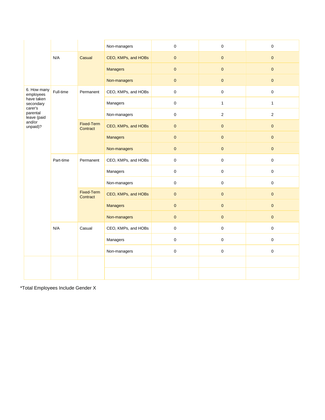|                                    |                                                         |                        | Non-managers        | 0            | $\pmb{0}$           | $\mathbf 0$         |
|------------------------------------|---------------------------------------------------------|------------------------|---------------------|--------------|---------------------|---------------------|
|                                    | N/A                                                     | Casual                 | CEO, KMPs, and HOBs | $\pmb{0}$    | $\mathbf{0}$        | $\pmb{0}$           |
|                                    |                                                         |                        | <b>Managers</b>     | $\mathbf 0$  | $\overline{0}$      | $\mathbf{0}$        |
|                                    |                                                         |                        | Non-managers        | $\pmb{0}$    | $\mathbf{0}$        | $\pmb{0}$           |
| 6. How many<br>employees           | Full-time                                               | Permanent              | CEO, KMPs, and HOBs | $\mathbf 0$  | $\pmb{0}$           | $\mathsf{O}\xspace$ |
| have taken<br>secondary<br>carer's |                                                         |                        | Managers            | $\mathsf 0$  | $\mathbf{1}$        | $\mathbf{1}$        |
| parental<br>leave (paid            |                                                         |                        | Non-managers        | $\mathsf 0$  | $\overline{2}$      | $\overline{2}$      |
| and/or<br>unpaid)?                 |                                                         | Fixed-Term<br>Contract | CEO, KMPs, and HOBs | $\mathbf{0}$ | $\mathbf{0}$        | $\mathbf{0}$        |
|                                    |                                                         |                        | <b>Managers</b>     | $\pmb{0}$    | $\mathbf{0}$        | $\mathbf{0}$        |
|                                    |                                                         |                        | Non-managers        | $\pmb{0}$    | $\pmb{0}$           | $\mathbf 0$         |
|                                    | Part-time<br>Permanent<br><b>Fixed-Term</b><br>Contract | CEO, KMPs, and HOBs    | 0                   | $\pmb{0}$    | $\mathsf{O}\xspace$ |                     |
|                                    |                                                         | Managers               | 0                   | $\pmb{0}$    | $\mathsf{O}\xspace$ |                     |
|                                    |                                                         |                        | Non-managers        | $\mathbf 0$  | $\pmb{0}$           | $\mathsf{O}\xspace$ |
|                                    |                                                         |                        | CEO, KMPs, and HOBs | $\pmb{0}$    | $\mathbf{0}$        | $\mathbf{0}$        |
|                                    |                                                         |                        | <b>Managers</b>     | $\pmb{0}$    | $\pmb{0}$           | $\pmb{0}$           |
|                                    |                                                         |                        | Non-managers        | $\mathbf{0}$ | $\mathbf{0}$        | $\mathbf{0}$        |
|                                    | N/A<br>Casual                                           |                        | CEO, KMPs, and HOBs | 0            | $\boldsymbol{0}$    | $\mathbf 0$         |
|                                    |                                                         |                        | Managers            | $\mathbf 0$  | $\pmb{0}$           | $\mathbf 0$         |
|                                    |                                                         |                        | Non-managers        | $\mathsf 0$  | $\pmb{0}$           | $\pmb{0}$           |
|                                    |                                                         |                        |                     |              |                     |                     |
|                                    |                                                         |                        |                     |              |                     |                     |

\*Total Employees Include Gender X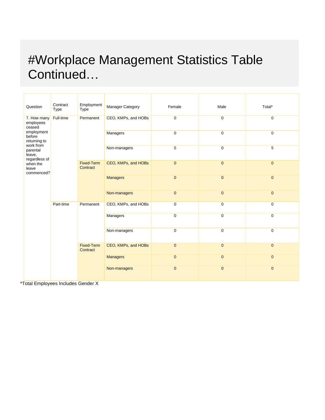# #Workplace Management Statistics Table Continued…

| Question                                          | Contract<br>Type                                        | Employment<br>Type  | Manager Category    | Female         | Male           | Total*         |
|---------------------------------------------------|---------------------------------------------------------|---------------------|---------------------|----------------|----------------|----------------|
| 7. How many<br>employees<br>ceased                | Full-time                                               | Permanent           | CEO, KMPs, and HOBs | $\mathbf 0$    | $\mathbf{0}$   | $\mathbf 0$    |
| employment<br>before<br>returning to<br>work from |                                                         |                     | Managers            | 0              | $\mathbf 0$    | $\mathbf 0$    |
| parental<br>leave,<br>regardless of               |                                                         |                     | Non-managers        | 5              | $\mathbf 0$    | 5              |
| when the<br>leave<br>commenced?                   | Fixed-Term<br>Contract                                  | CEO, KMPs, and HOBs | $\mathbf{0}$        | $\overline{0}$ | $\mathbf{0}$   |                |
|                                                   |                                                         |                     | <b>Managers</b>     | $\mathbf{0}$   | $\mathbf{0}$   | $\mathbf{0}$   |
|                                                   |                                                         |                     | Non-managers        | $\overline{0}$ | $\overline{0}$ | $\mathbf{0}$   |
|                                                   | Part-time<br>Permanent<br><b>Fixed-Term</b><br>Contract |                     | CEO, KMPs, and HOBs | $\mathbf 0$    | $\mathbf 0$    | $\mathbf 0$    |
|                                                   |                                                         |                     | Managers            | $\mathbf 0$    | $\mathbf 0$    | $\mathbf 0$    |
|                                                   |                                                         | Non-managers        | $\mathbf 0$         | $\mathbf 0$    | $\mathbf 0$    |                |
|                                                   |                                                         |                     | CEO, KMPs, and HOBs | $\mathbf{0}$   | $\mathbf{0}$   | $\mathbf{0}$   |
|                                                   |                                                         |                     | <b>Managers</b>     | $\mathbf{0}$   | $\overline{0}$ | $\overline{0}$ |
| $\sim$ $\sim$ $\sim$ $\sim$ $\sim$                | $\blacksquare$                                          |                     | Non-managers        | $\mathbf{0}$   | $\mathbf{0}$   | $\mathbf{0}$   |

\*Total Employees Includes Gender X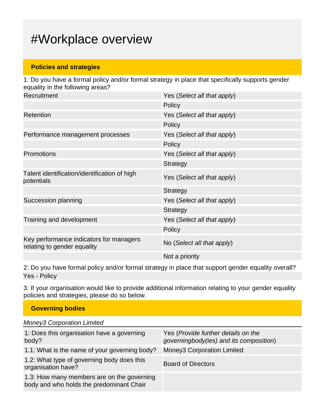## #Workplace overview

#### **Policies and strategies**

1: Do you have a formal policy and/or formal strategy in place that specifically supports gender equality in the following areas? Recruitment Yes (*Select all that apply*) **Policy** Retention Yes (*Select all that apply*) **Policy** Performance management processes Yes (*Select all that apply*) **Policy** Promotions Yes (*Select all that apply*) **Strategy** Talent identification/identification of high potentials Yes (*Select all that apply*) **Strategy** Succession planning Yes (*Select all that apply*) **Strategy** Training and development Yes (*Select all that apply*) **Policy** Key performance indicators for managers relating to gender equality number of managers No (*Select all that apply*) Not a priority

2: Do you have formal policy and/or formal strategy in place that support gender equality overall? Yes - Policy

3: If your organisation would like to provide additional information relating to your gender equality policies and strategies, please do so below.

| <b>Governing bodies</b>                                                                |                                                                                |
|----------------------------------------------------------------------------------------|--------------------------------------------------------------------------------|
| <b>Money3 Corporation Limited</b>                                                      |                                                                                |
| 1: Does this organisation have a governing<br>body?                                    | Yes (Provide further details on the<br>governingbody(ies) and its composition) |
| 1.1: What is the name of your governing body?                                          | <b>Money3 Corporation Limited</b>                                              |
| 1.2: What type of governing body does this<br>organisation have?                       | <b>Board of Directors</b>                                                      |
| 1.3: How many members are on the governing<br>body and who holds the predominant Chair |                                                                                |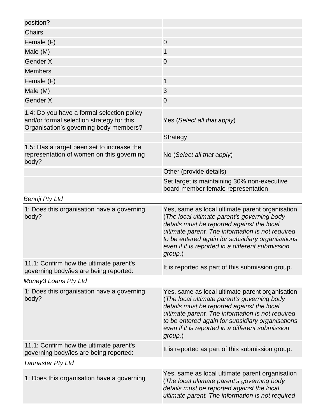| position?                                                                                                                         |                                                                                                                                                                                                                                                                                                                     |
|-----------------------------------------------------------------------------------------------------------------------------------|---------------------------------------------------------------------------------------------------------------------------------------------------------------------------------------------------------------------------------------------------------------------------------------------------------------------|
| <b>Chairs</b>                                                                                                                     |                                                                                                                                                                                                                                                                                                                     |
| Female (F)                                                                                                                        | $\mathbf 0$                                                                                                                                                                                                                                                                                                         |
| Male (M)                                                                                                                          | 1                                                                                                                                                                                                                                                                                                                   |
| Gender X                                                                                                                          | $\mathbf 0$                                                                                                                                                                                                                                                                                                         |
| <b>Members</b>                                                                                                                    |                                                                                                                                                                                                                                                                                                                     |
| Female (F)                                                                                                                        | 1                                                                                                                                                                                                                                                                                                                   |
| Male (M)                                                                                                                          | 3                                                                                                                                                                                                                                                                                                                   |
| Gender X                                                                                                                          | $\mathbf 0$                                                                                                                                                                                                                                                                                                         |
| 1.4: Do you have a formal selection policy<br>and/or formal selection strategy for this<br>Organisation's governing body members? | Yes (Select all that apply)                                                                                                                                                                                                                                                                                         |
|                                                                                                                                   | <b>Strategy</b>                                                                                                                                                                                                                                                                                                     |
| 1.5: Has a target been set to increase the<br>representation of women on this governing<br>body?                                  | No (Select all that apply)                                                                                                                                                                                                                                                                                          |
|                                                                                                                                   | Other (provide details)                                                                                                                                                                                                                                                                                             |
|                                                                                                                                   | Set target is maintaining 30% non-executive<br>board member female representation                                                                                                                                                                                                                                   |
| Bennji Pty Ltd                                                                                                                    |                                                                                                                                                                                                                                                                                                                     |
| 1: Does this organisation have a governing<br>body?                                                                               | Yes, same as local ultimate parent organisation<br>(The local ultimate parent's governing body<br>details must be reported against the local<br>ultimate parent. The information is not required<br>to be entered again for subsidiary organisations<br>even if it is reported in a different submission<br>group.) |
| 11.1: Confirm how the ultimate parent's<br>governing body/ies are being reported:                                                 | It is reported as part of this submission group.                                                                                                                                                                                                                                                                    |
| Money3 Loans Pty Ltd                                                                                                              |                                                                                                                                                                                                                                                                                                                     |
| 1: Does this organisation have a governing<br>body?                                                                               | Yes, same as local ultimate parent organisation<br>(The local ultimate parent's governing body<br>details must be reported against the local<br>ultimate parent. The information is not required<br>to be entered again for subsidiary organisations<br>even if it is reported in a different submission<br>group.) |
| 11.1: Confirm how the ultimate parent's<br>governing body/ies are being reported:                                                 | It is reported as part of this submission group.                                                                                                                                                                                                                                                                    |
| <b>Tannaster Pty Ltd</b>                                                                                                          |                                                                                                                                                                                                                                                                                                                     |
| 1: Does this organisation have a governing                                                                                        | Yes, same as local ultimate parent organisation<br>(The local ultimate parent's governing body<br>details must be reported against the local<br>ultimate parent. The information is not required                                                                                                                    |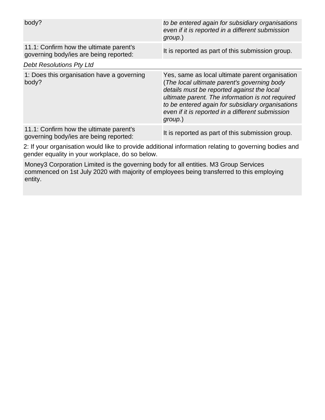| body?                                                                             | to be entered again for subsidiary organisations<br>even if it is reported in a different submission<br>group.)                                                                                                                                                                                                     |
|-----------------------------------------------------------------------------------|---------------------------------------------------------------------------------------------------------------------------------------------------------------------------------------------------------------------------------------------------------------------------------------------------------------------|
| 11.1: Confirm how the ultimate parent's<br>governing body/ies are being reported: | It is reported as part of this submission group.                                                                                                                                                                                                                                                                    |
| <b>Debt Resolutions Pty Ltd</b>                                                   |                                                                                                                                                                                                                                                                                                                     |
| 1: Does this organisation have a governing<br>body?                               | Yes, same as local ultimate parent organisation<br>(The local ultimate parent's governing body<br>details must be reported against the local<br>ultimate parent. The information is not required<br>to be entered again for subsidiary organisations<br>even if it is reported in a different submission<br>group.) |
| 11.1: Confirm how the ultimate parent's<br>governing body/ies are being reported: | It is reported as part of this submission group.                                                                                                                                                                                                                                                                    |

2: If your organisation would like to provide additional information relating to governing bodies and gender equality in your workplace, do so below.

Money3 Corporation Limited is the governing body for all entities. M3 Group Services commenced on 1st July 2020 with majority of employees being transferred to this employing entity.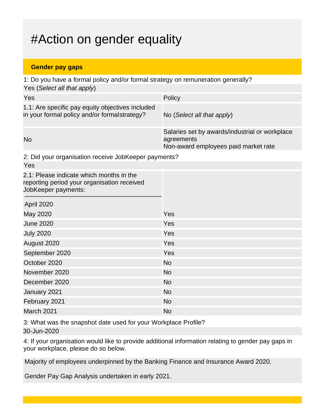## #Action on gender equality

#### **Gender pay gaps**

1: Do you have a formal policy and/or formal strategy on remuneration generally? Yes (*Select all that apply*)

| Yes                                                                                              | Policy                                                                                               |
|--------------------------------------------------------------------------------------------------|------------------------------------------------------------------------------------------------------|
| 1.1: Are specific pay equity objectives included<br>in your formal policy and/or formalstrategy? | No (Select all that apply)                                                                           |
| <b>No</b>                                                                                        | Salaries set by awards/industrial or workplace<br>agreements<br>Non-award employees paid market rate |

2: Did your organisation receive JobKeeper payments?

| Yes                                                                                                            |           |
|----------------------------------------------------------------------------------------------------------------|-----------|
| 2.1: Please indicate which months in the<br>reporting period your organisation received<br>JobKeeper payments: |           |
| April 2020                                                                                                     |           |
| May 2020                                                                                                       | Yes       |
| <b>June 2020</b>                                                                                               | Yes       |
| <b>July 2020</b>                                                                                               | Yes       |
| August 2020                                                                                                    | Yes       |
| September 2020                                                                                                 | Yes       |
| October 2020                                                                                                   | <b>No</b> |
| November 2020                                                                                                  | <b>No</b> |
| December 2020                                                                                                  | <b>No</b> |
| January 2021                                                                                                   | <b>No</b> |
| February 2021                                                                                                  | <b>No</b> |
| March 2021                                                                                                     | <b>No</b> |

3: What was the snapshot date used for your Workplace Profile? 30-Jun-2020

4: If your organisation would like to provide additional information relating to gender pay gaps in your workplace, please do so below.

Majority of employees underpinned by the Banking Finance and Insurance Award 2020.

Gender Pay Gap Analysis undertaken in early 2021.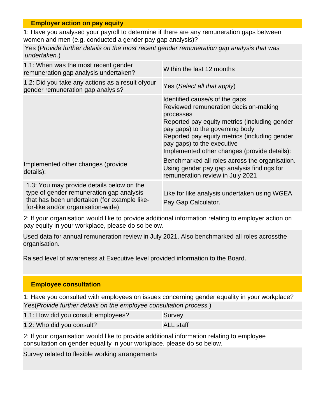#### **Employer action on pay equity**

1: Have you analysed your payroll to determine if there are any remuneration gaps between women and men (e.g. conducted a gender pay gap analysis)?

Yes (*Provide further details on the most recent gender remuneration gap analysis that was undertaken.*)

| 1.1: When was the most recent gender<br>remuneration gap analysis undertaken?                                                                                              | Within the last 12 months                                                                                                                                                                                                                                                                               |
|----------------------------------------------------------------------------------------------------------------------------------------------------------------------------|---------------------------------------------------------------------------------------------------------------------------------------------------------------------------------------------------------------------------------------------------------------------------------------------------------|
| 1.2: Did you take any actions as a result of your<br>gender remuneration gap analysis?                                                                                     | Yes (Select all that apply)                                                                                                                                                                                                                                                                             |
|                                                                                                                                                                            | Identified cause/s of the gaps<br>Reviewed remuneration decision-making<br>processes<br>Reported pay equity metrics (including gender<br>pay gaps) to the governing body<br>Reported pay equity metrics (including gender<br>pay gaps) to the executive<br>Implemented other changes (provide details): |
| Implemented other changes (provide<br>details):                                                                                                                            | Benchmarked all roles across the organisation.<br>Using gender pay gap analysis findings for<br>remuneration review in July 2021                                                                                                                                                                        |
| 1.3: You may provide details below on the<br>type of gender remuneration gap analysis<br>that has been undertaken (for example like-<br>for-like and/or organisation-wide) | Like for like analysis undertaken using WGEA<br>Pay Gap Calculator.                                                                                                                                                                                                                                     |

2: If your organisation would like to provide additional information relating to employer action on pay equity in your workplace, please do so below.

Used data for annual remuneration review in July 2021. Also benchmarked all roles acrossthe organisation.

Raised level of awareness at Executive level provided information to the Board.

#### **Employee consultation**

1: Have you consulted with employees on issues concerning gender equality in your workplace? Yes(*Provide further details on the employee consultation process.*)

| 1.1: How did you consult employees? | Survey           |
|-------------------------------------|------------------|
| 1.2: Who did you consult?           | <b>ALL</b> staff |

2: If your organisation would like to provide additional information relating to employee consultation on gender equality in your workplace, please do so below.

Survey related to flexible working arrangements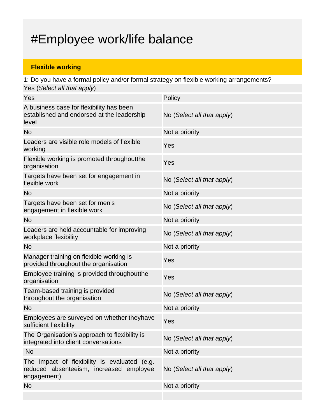## #Employee work/life balance

### **Flexible working**

1: Do you have a formal policy and/or formal strategy on flexible working arrangements? Yes (*Select all that apply*)

| Yes                                                                                                    | Policy                     |
|--------------------------------------------------------------------------------------------------------|----------------------------|
| A business case for flexibility has been<br>established and endorsed at the leadership<br>level        | No (Select all that apply) |
| <b>No</b>                                                                                              | Not a priority             |
| Leaders are visible role models of flexible<br>working                                                 | Yes                        |
| Flexible working is promoted throughout the<br>organisation                                            | Yes                        |
| Targets have been set for engagement in<br>flexible work                                               | No (Select all that apply) |
| <b>No</b>                                                                                              | Not a priority             |
| Targets have been set for men's<br>engagement in flexible work                                         | No (Select all that apply) |
| <b>No</b>                                                                                              | Not a priority             |
| Leaders are held accountable for improving<br>workplace flexibility                                    | No (Select all that apply) |
| <b>No</b>                                                                                              | Not a priority             |
| Manager training on flexible working is<br>provided throughout the organisation                        | Yes                        |
| Employee training is provided throughout the<br>organisation                                           | Yes                        |
| Team-based training is provided<br>throughout the organisation                                         | No (Select all that apply) |
| <b>No</b>                                                                                              | Not a priority             |
| Employees are surveyed on whether theyhave<br>sufficient flexibility                                   | Yes                        |
| The Organisation's approach to flexibility is<br>integrated into client conversations                  | No (Select all that apply) |
| <b>No</b>                                                                                              |                            |
|                                                                                                        | Not a priority             |
| The impact of flexibility is evaluated (e.g.<br>reduced absenteeism, increased employee<br>engagement) | No (Select all that apply) |
| <b>No</b>                                                                                              | Not a priority             |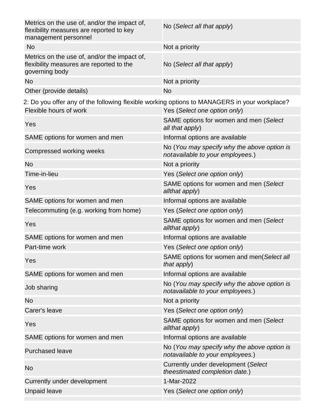| Metrics on the use of, and/or the impact of,<br>flexibility measures are reported to key<br>management personnel       | No (Select all that apply)                                                      |
|------------------------------------------------------------------------------------------------------------------------|---------------------------------------------------------------------------------|
| <b>No</b>                                                                                                              | Not a priority                                                                  |
| Metrics on the use of, and/or the impact of,<br>flexibility measures are reported to the<br>governing body             | No (Select all that apply)                                                      |
| <b>No</b>                                                                                                              | Not a priority                                                                  |
| Other (provide details)                                                                                                | <b>No</b>                                                                       |
| 2: Do you offer any of the following flexible working options to MANAGERS in your workplace?<br>Flexible hours of work | Yes (Select one option only)                                                    |
| Yes                                                                                                                    | SAME options for women and men (Select<br>all that apply)                       |
| SAME options for women and men                                                                                         | Informal options are available                                                  |
| Compressed working weeks                                                                                               | No (You may specify why the above option is<br>notavailable to your employees.) |
| <b>No</b>                                                                                                              | Not a priority                                                                  |
| Time-in-lieu                                                                                                           | Yes (Select one option only)                                                    |
| Yes                                                                                                                    | SAME options for women and men (Select<br>allthat apply)                        |
| SAME options for women and men                                                                                         | Informal options are available                                                  |
| Telecommuting (e.g. working from home)                                                                                 | Yes (Select one option only)                                                    |
| Yes                                                                                                                    | SAME options for women and men (Select<br>allthat apply)                        |
| SAME options for women and men                                                                                         | Informal options are available                                                  |
| Part-time work                                                                                                         | Yes (Select one option only)                                                    |
| Yes                                                                                                                    | SAME options for women and men(Select all<br>that apply)                        |
| SAME options for women and men                                                                                         | Informal options are available                                                  |
| Job sharing                                                                                                            | No (You may specify why the above option is<br>notavailable to your employees.) |
| No                                                                                                                     | Not a priority                                                                  |
| Carer's leave                                                                                                          | Yes (Select one option only)                                                    |
| Yes                                                                                                                    | SAME options for women and men (Select<br>allthat apply)                        |
| SAME options for women and men                                                                                         | Informal options are available                                                  |
| <b>Purchased leave</b>                                                                                                 | No (You may specify why the above option is<br>notavailable to your employees.) |
| No                                                                                                                     | Currently under development (Select<br>theestimated completion date.)           |
| Currently under development                                                                                            | 1-Mar-2022                                                                      |
| <b>Unpaid leave</b>                                                                                                    | Yes (Select one option only)                                                    |
|                                                                                                                        |                                                                                 |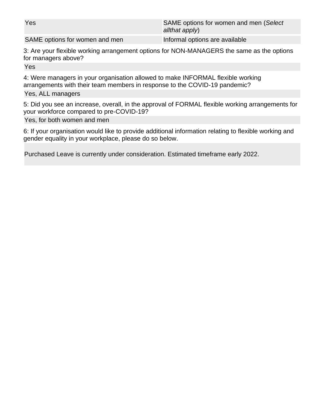Yes SAME options for women and men (*Select allthat apply*)

SAME options for women and men Informal options are available

3: Are your flexible working arrangement options for NON-MANAGERS the same as the options for managers above?

Yes

4: Were managers in your organisation allowed to make INFORMAL flexible working arrangements with their team members in response to the COVID-19 pandemic?

#### Yes, ALL managers

5: Did you see an increase, overall, in the approval of FORMAL flexible working arrangements for your workforce compared to pre-COVID-19?

Yes, for both women and men

6: If your organisation would like to provide additional information relating to flexible working and gender equality in your workplace, please do so below.

Purchased Leave is currently under consideration. Estimated timeframe early 2022.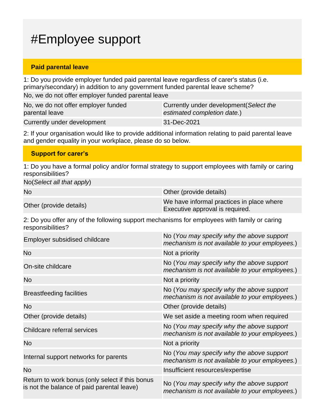## #Employee support

#### **Paid parental leave**

1: Do you provide employer funded paid parental leave regardless of carer's status (i.e. primary/secondary) in addition to any government funded parental leave scheme? No, we do not offer employer funded parental leave

| No, we do not offer employer funded | Currently under development (Select the |
|-------------------------------------|-----------------------------------------|
| parental leave                      | estimated completion date.)             |
| Currently under development         | 31-Dec-2021                             |

2: If your organisation would like to provide additional information relating to paid parental leave and gender equality in your workplace, please do so below.

#### **Support for carer's**

1: Do you have a formal policy and/or formal strategy to support employees with family or caring responsibilities?

No(*Select all that apply*)

No **Other (provide details)** 

Other (provide details) We have informal practices in place where Executive approval is required.

2: Do you offer any of the following support mechanisms for employees with family or caring responsibilities?

| Employer subsidised childcare                                                                 | No (You may specify why the above support<br>mechanism is not available to your employees.) |
|-----------------------------------------------------------------------------------------------|---------------------------------------------------------------------------------------------|
| <b>No</b>                                                                                     | Not a priority                                                                              |
| On-site childcare                                                                             | No (You may specify why the above support<br>mechanism is not available to your employees.) |
| No                                                                                            | Not a priority                                                                              |
| <b>Breastfeeding facilities</b>                                                               | No (You may specify why the above support<br>mechanism is not available to your employees.) |
| <b>No</b>                                                                                     | Other (provide details)                                                                     |
| Other (provide details)                                                                       | We set aside a meeting room when required                                                   |
| Childcare referral services                                                                   | No (You may specify why the above support<br>mechanism is not available to your employees.) |
| <b>No</b>                                                                                     | Not a priority                                                                              |
| Internal support networks for parents                                                         | No (You may specify why the above support<br>mechanism is not available to your employees.) |
| <b>No</b>                                                                                     | Insufficient resources/expertise                                                            |
| Return to work bonus (only select if this bonus<br>is not the balance of paid parental leave) | No (You may specify why the above support<br>mechanism is not available to your employees.) |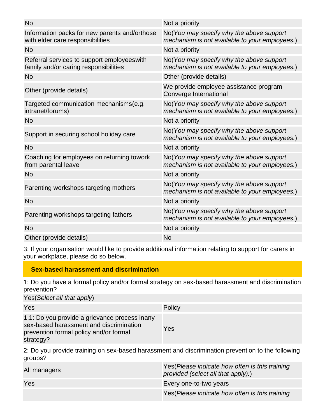| <b>No</b>                                                                            | Not a priority                                                                             |
|--------------------------------------------------------------------------------------|--------------------------------------------------------------------------------------------|
| Information packs for new parents and/orthose<br>with elder care responsibilities    | No(You may specify why the above support<br>mechanism is not available to your employees.) |
| <b>No</b>                                                                            | Not a priority                                                                             |
| Referral services to support employees with<br>family and/or caring responsibilities | No(You may specify why the above support<br>mechanism is not available to your employees.) |
| No.                                                                                  | Other (provide details)                                                                    |
| Other (provide details)                                                              | We provide employee assistance program -<br>Converge International                         |
| Targeted communication mechanisms(e.g.<br>intranet/forums)                           | No(You may specify why the above support<br>mechanism is not available to your employees.) |
| <b>No</b>                                                                            | Not a priority                                                                             |
| Support in securing school holiday care                                              | No(You may specify why the above support<br>mechanism is not available to your employees.) |
| <b>No</b>                                                                            | Not a priority                                                                             |
| Coaching for employees on returning towork<br>from parental leave                    | No(You may specify why the above support<br>mechanism is not available to your employees.) |
| <b>No</b>                                                                            | Not a priority                                                                             |
| Parenting workshops targeting mothers                                                | No(You may specify why the above support<br>mechanism is not available to your employees.) |
| <b>No</b>                                                                            | Not a priority                                                                             |
| Parenting workshops targeting fathers                                                | No(You may specify why the above support<br>mechanism is not available to your employees.) |
| <b>No</b>                                                                            | Not a priority                                                                             |
| Other (provide details)                                                              | <b>No</b>                                                                                  |
|                                                                                      |                                                                                            |

3: If your organisation would like to provide additional information relating to support for carers in your workplace, please do so below.

### **Sex-based harassment and discrimination**

1: Do you have a formal policy and/or formal strategy on sex-based harassment and discrimination prevention?

Yes(*Select all that apply*)

| Yes                                                                                                                                             | Policy |
|-------------------------------------------------------------------------------------------------------------------------------------------------|--------|
| 1.1: Do you provide a grievance process inany<br>sex-based harassment and discrimination<br>prevention formal policy and/or formal<br>strategy? | Yes    |

2: Do you provide training on sex-based harassment and discrimination prevention to the following groups?

| All managers | Yes (Please indicate how often is this training<br>provided (select all that apply):) |
|--------------|---------------------------------------------------------------------------------------|
| Yes          | Every one-to-two years                                                                |
|              | Yes (Please indicate how often is this training                                       |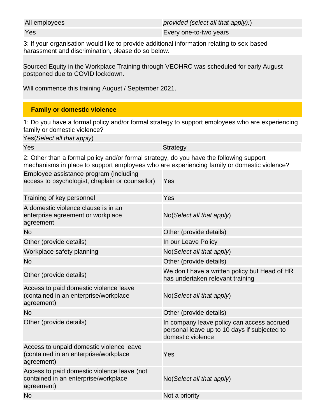All employees *provided (select all that apply):*)

**Yes** Every one-to-two years

3: If your organisation would like to provide additional information relating to sex-based harassment and discrimination, please do so below.

Sourced Equity in the Workplace Training through VEOHRC was scheduled for early August postponed due to COVID lockdown.

Will commence this training August / September 2021.

### **Family or domestic violence**

1: Do you have a formal policy and/or formal strategy to support employees who are experiencing family or domestic violence?

| Yes(Select all that apply)                                                                                                                                                            |                                                                                                                 |  |
|---------------------------------------------------------------------------------------------------------------------------------------------------------------------------------------|-----------------------------------------------------------------------------------------------------------------|--|
| Yes                                                                                                                                                                                   | <b>Strategy</b>                                                                                                 |  |
| 2: Other than a formal policy and/or formal strategy, do you have the following support<br>mechanisms in place to support employees who are experiencing family or domestic violence? |                                                                                                                 |  |
| Employee assistance program (including<br>access to psychologist, chaplain or counsellor)                                                                                             | Yes                                                                                                             |  |
| Training of key personnel                                                                                                                                                             | Yes                                                                                                             |  |
| A domestic violence clause is in an<br>enterprise agreement or workplace<br>agreement                                                                                                 | No(Select all that apply)                                                                                       |  |
| <b>No</b>                                                                                                                                                                             | Other (provide details)                                                                                         |  |
| Other (provide details)                                                                                                                                                               | In our Leave Policy                                                                                             |  |
| Workplace safety planning                                                                                                                                                             | No(Select all that apply)                                                                                       |  |
| <b>No</b>                                                                                                                                                                             | Other (provide details)                                                                                         |  |
| Other (provide details)                                                                                                                                                               | We don't have a written policy but Head of HR<br>has undertaken relevant training                               |  |
| Access to paid domestic violence leave<br>(contained in an enterprise/workplace<br>agreement)                                                                                         | No(Select all that apply)                                                                                       |  |
| <b>No</b>                                                                                                                                                                             | Other (provide details)                                                                                         |  |
| Other (provide details)                                                                                                                                                               | In company leave policy can access accrued<br>personal leave up to 10 days if subjected to<br>domestic violence |  |
| Access to unpaid domestic violence leave<br>(contained in an enterprise/workplace<br>agreement)                                                                                       | Yes                                                                                                             |  |
| Access to paid domestic violence leave (not<br>contained in an enterprise/workplace<br>agreement)                                                                                     | No(Select all that apply)                                                                                       |  |
| <b>No</b>                                                                                                                                                                             | Not a priority                                                                                                  |  |